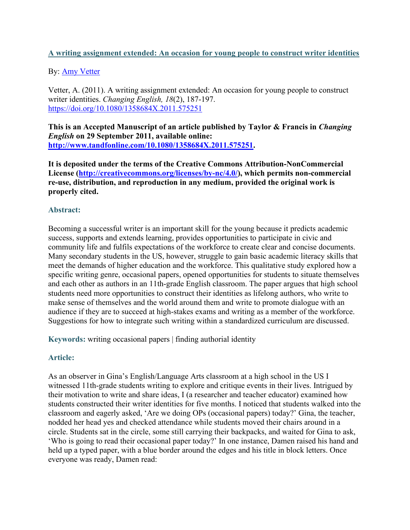# **A writing assignment extended: An occasion for young people to construct writer identities**

# By: [Amy Vetter](https://libres.uncg.edu/ir/uncg/clist.aspx?id=25700)

Vetter, A. (2011). A writing assignment extended: An occasion for young people to construct writer identities. *Changing English, 18*(2), 187-197. <https://doi.org/10.1080/1358684X.2011.575251>

**This is an Accepted Manuscript of an article published by Taylor & Francis in** *Changing English* **on 29 September 2011, available online: [http://www.tandfonline.com/10.1080/1358684X.2011.575251.](http://www.tandfonline.com/10.1080/1358684X.2011.575251)**

**It is deposited under the terms of the Creative Commons Attribution-NonCommercial License [\(http://creativecommons.org/licenses/by-nc/4.0/\)](http://creativecommons.org/licenses/by-nc/4.0/), which permits non-commercial re-use, distribution, and reproduction in any medium, provided the original work is properly cited.**

#### **Abstract:**

Becoming a successful writer is an important skill for the young because it predicts academic success, supports and extends learning, provides opportunities to participate in civic and community life and fulfils expectations of the workforce to create clear and concise documents. Many secondary students in the US, however, struggle to gain basic academic literacy skills that meet the demands of higher education and the workforce. This qualitative study explored how a specific writing genre, occasional papers, opened opportunities for students to situate themselves and each other as authors in an 11th-grade English classroom. The paper argues that high school students need more opportunities to construct their identities as lifelong authors, who write to make sense of themselves and the world around them and write to promote dialogue with an audience if they are to succeed at high-stakes exams and writing as a member of the workforce. Suggestions for how to integrate such writing within a standardized curriculum are discussed.

**Keywords:** writing occasional papers | finding authorial identity

## **Article:**

As an observer in Gina's English/Language Arts classroom at a high school in the US I witnessed 11th-grade students writing to explore and critique events in their lives. Intrigued by their motivation to write and share ideas, I (a researcher and teacher educator) examined how students constructed their writer identities for five months. I noticed that students walked into the classroom and eagerly asked, 'Are we doing OPs (occasional papers) today?' Gina, the teacher, nodded her head yes and checked attendance while students moved their chairs around in a circle. Students sat in the circle, some still carrying their backpacks, and waited for Gina to ask, 'Who is going to read their occasional paper today?' In one instance, Damen raised his hand and held up a typed paper, with a blue border around the edges and his title in block letters. Once everyone was ready, Damen read: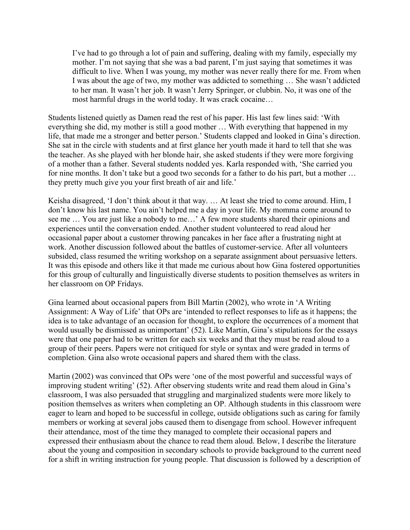I've had to go through a lot of pain and suffering, dealing with my family, especially my mother. I'm not saying that she was a bad parent, I'm just saying that sometimes it was difficult to live. When I was young, my mother was never really there for me. From when I was about the age of two, my mother was addicted to something … She wasn't addicted to her man. It wasn't her job. It wasn't Jerry Springer, or clubbin. No, it was one of the most harmful drugs in the world today. It was crack cocaine…

Students listened quietly as Damen read the rest of his paper. His last few lines said: 'With everything she did, my mother is still a good mother … With everything that happened in my life, that made me a stronger and better person.' Students clapped and looked in Gina's direction. She sat in the circle with students and at first glance her youth made it hard to tell that she was the teacher. As she played with her blonde hair, she asked students if they were more forgiving of a mother than a father. Several students nodded yes. Karla responded with, 'She carried you for nine months. It don't take but a good two seconds for a father to do his part, but a mother … they pretty much give you your first breath of air and life.'

Keisha disagreed, 'I don't think about it that way. … At least she tried to come around. Him, I don't know his last name. You ain't helped me a day in your life. My momma come around to see me … You are just like a nobody to me…' A few more students shared their opinions and experiences until the conversation ended. Another student volunteered to read aloud her occasional paper about a customer throwing pancakes in her face after a frustrating night at work. Another discussion followed about the battles of customer-service. After all volunteers subsided, class resumed the writing workshop on a separate assignment about persuasive letters. It was this episode and others like it that made me curious about how Gina fostered opportunities for this group of culturally and linguistically diverse students to position themselves as writers in her classroom on OP Fridays.

Gina learned about occasional papers from Bill Martin (2002), who wrote in 'A Writing Assignment: A Way of Life' that OPs are 'intended to reflect responses to life as it happens; the idea is to take advantage of an occasion for thought, to explore the occurrences of a moment that would usually be dismissed as unimportant' (52). Like Martin, Gina's stipulations for the essays were that one paper had to be written for each six weeks and that they must be read aloud to a group of their peers. Papers were not critiqued for style or syntax and were graded in terms of completion. Gina also wrote occasional papers and shared them with the class.

Martin (2002) was convinced that OPs were 'one of the most powerful and successful ways of improving student writing' (52). After observing students write and read them aloud in Gina's classroom, I was also persuaded that struggling and marginalized students were more likely to position themselves as writers when completing an OP. Although students in this classroom were eager to learn and hoped to be successful in college, outside obligations such as caring for family members or working at several jobs caused them to disengage from school. However infrequent their attendance, most of the time they managed to complete their occasional papers and expressed their enthusiasm about the chance to read them aloud. Below, I describe the literature about the young and composition in secondary schools to provide background to the current need for a shift in writing instruction for young people. That discussion is followed by a description of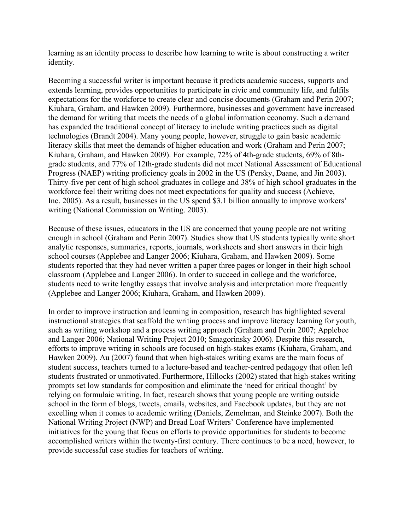learning as an identity process to describe how learning to write is about constructing a writer identity.

Becoming a successful writer is important because it predicts academic success, supports and extends learning, provides opportunities to participate in civic and community life, and fulfils expectations for the workforce to create clear and concise documents (Graham and Perin 2007; Kiuhara, Graham, and Hawken 2009). Furthermore, businesses and government have increased the demand for writing that meets the needs of a global information economy. Such a demand has expanded the traditional concept of literacy to include writing practices such as digital technologies (Brandt 2004). Many young people, however, struggle to gain basic academic literacy skills that meet the demands of higher education and work (Graham and Perin 2007; Kiuhara, Graham, and Hawken 2009). For example, 72% of 4th-grade students, 69% of 8thgrade students, and 77% of 12th-grade students did not meet National Assessment of Educational Progress (NAEP) writing proficiency goals in 2002 in the US (Persky, Daane, and Jin 2003). Thirty-five per cent of high school graduates in college and 38% of high school graduates in the workforce feel their writing does not meet expectations for quality and success (Achieve, Inc. 2005). As a result, businesses in the US spend \$3.1 billion annually to improve workers' writing (National Commission on Writing. 2003).

Because of these issues, educators in the US are concerned that young people are not writing enough in school (Graham and Perin 2007). Studies show that US students typically write short analytic responses, summaries, reports, journals, worksheets and short answers in their high school courses (Applebee and Langer 2006; Kiuhara, Graham, and Hawken 2009). Some students reported that they had never written a paper three pages or longer in their high school classroom (Applebee and Langer 2006). In order to succeed in college and the workforce, students need to write lengthy essays that involve analysis and interpretation more frequently (Applebee and Langer 2006; Kiuhara, Graham, and Hawken 2009).

In order to improve instruction and learning in composition, research has highlighted several instructional strategies that scaffold the writing process and improve literacy learning for youth, such as writing workshop and a process writing approach (Graham and Perin 2007; Applebee and Langer 2006; National Writing Project 2010; Smagorinsky 2006). Despite this research, efforts to improve writing in schools are focused on high-stakes exams (Kiuhara, Graham, and Hawken 2009). Au (2007) found that when high-stakes writing exams are the main focus of student success, teachers turned to a lecture-based and teacher-centred pedagogy that often left students frustrated or unmotivated. Furthermore, Hillocks (2002) stated that high-stakes writing prompts set low standards for composition and eliminate the 'need for critical thought' by relying on formulaic writing. In fact, research shows that young people are writing outside school in the form of blogs, tweets, emails, websites, and Facebook updates, but they are not excelling when it comes to academic writing (Daniels, Zemelman, and Steinke 2007). Both the National Writing Project (NWP) and Bread Loaf Writers' Conference have implemented initiatives for the young that focus on efforts to provide opportunities for students to become accomplished writers within the twenty-first century. There continues to be a need, however, to provide successful case studies for teachers of writing.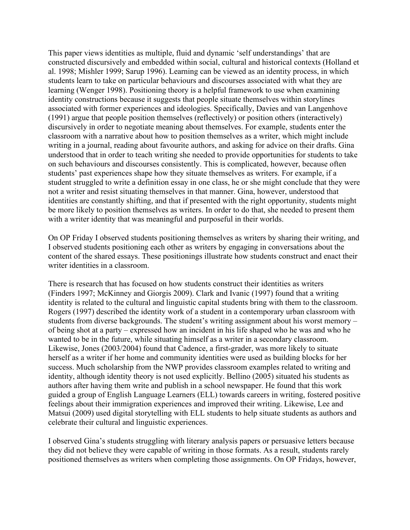This paper views identities as multiple, fluid and dynamic 'self understandings' that are constructed discursively and embedded within social, cultural and historical contexts (Holland et al. 1998; Mishler 1999; Sarup 1996). Learning can be viewed as an identity process, in which students learn to take on particular behaviours and discourses associated with what they are learning (Wenger 1998). Positioning theory is a helpful framework to use when examining identity constructions because it suggests that people situate themselves within storylines associated with former experiences and ideologies. Specifically, Davies and van Langenhove (1991) argue that people position themselves (reflectively) or position others (interactively) discursively in order to negotiate meaning about themselves. For example, students enter the classroom with a narrative about how to position themselves as a writer, which might include writing in a journal, reading about favourite authors, and asking for advice on their drafts. Gina understood that in order to teach writing she needed to provide opportunities for students to take on such behaviours and discourses consistently. This is complicated, however, because often students' past experiences shape how they situate themselves as writers. For example, if a student struggled to write a definition essay in one class, he or she might conclude that they were not a writer and resist situating themselves in that manner. Gina, however, understood that identities are constantly shifting, and that if presented with the right opportunity, students might be more likely to position themselves as writers. In order to do that, she needed to present them with a writer identity that was meaningful and purposeful in their worlds.

On OP Friday I observed students positioning themselves as writers by sharing their writing, and I observed students positioning each other as writers by engaging in conversations about the content of the shared essays. These positionings illustrate how students construct and enact their writer identities in a classroom.

There is research that has focused on how students construct their identities as writers (Finders 1997; McKinney and Giorgis 2009). Clark and Ivanic (1997) found that a writing identity is related to the cultural and linguistic capital students bring with them to the classroom. Rogers (1997) described the identity work of a student in a contemporary urban classroom with students from diverse backgrounds. The student's writing assignment about his worst memory – of being shot at a party – expressed how an incident in his life shaped who he was and who he wanted to be in the future, while situating himself as a writer in a secondary classroom. Likewise, Jones (2003/2004) found that Cadence, a first-grader, was more likely to situate herself as a writer if her home and community identities were used as building blocks for her success. Much scholarship from the NWP provides classroom examples related to writing and identity, although identity theory is not used explicitly. Bellino (2005) situated his students as authors after having them write and publish in a school newspaper. He found that this work guided a group of English Language Learners (ELL) towards careers in writing, fostered positive feelings about their immigration experiences and improved their writing. Likewise, Lee and Matsui (2009) used digital storytelling with ELL students to help situate students as authors and celebrate their cultural and linguistic experiences.

I observed Gina's students struggling with literary analysis papers or persuasive letters because they did not believe they were capable of writing in those formats. As a result, students rarely positioned themselves as writers when completing those assignments. On OP Fridays, however,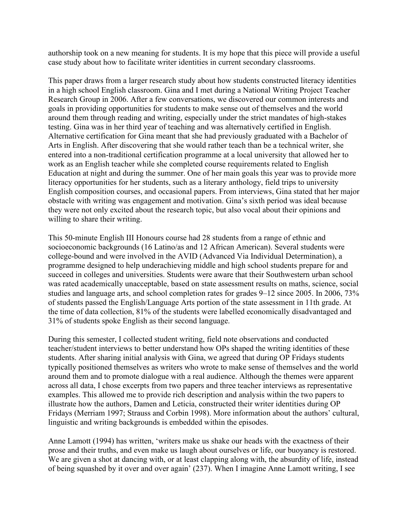authorship took on a new meaning for students. It is my hope that this piece will provide a useful case study about how to facilitate writer identities in current secondary classrooms.

This paper draws from a larger research study about how students constructed literacy identities in a high school English classroom. Gina and I met during a National Writing Project Teacher Research Group in 2006. After a few conversations, we discovered our common interests and goals in providing opportunities for students to make sense out of themselves and the world around them through reading and writing, especially under the strict mandates of high-stakes testing. Gina was in her third year of teaching and was alternatively certified in English. Alternative certification for Gina meant that she had previously graduated with a Bachelor of Arts in English. After discovering that she would rather teach than be a technical writer, she entered into a non-traditional certification programme at a local university that allowed her to work as an English teacher while she completed course requirements related to English Education at night and during the summer. One of her main goals this year was to provide more literacy opportunities for her students, such as a literary anthology, field trips to university English composition courses, and occasional papers. From interviews, Gina stated that her major obstacle with writing was engagement and motivation. Gina's sixth period was ideal because they were not only excited about the research topic, but also vocal about their opinions and willing to share their writing.

This 50-minute English III Honours course had 28 students from a range of ethnic and socioeconomic backgrounds (16 Latino/as and 12 African American). Several students were college-bound and were involved in the AVID (Advanced Via Individual Determination), a programme designed to help underachieving middle and high school students prepare for and succeed in colleges and universities. Students were aware that their Southwestern urban school was rated academically unacceptable, based on state assessment results on maths, science, social studies and language arts, and school completion rates for grades 9–12 since 2005. In 2006, 73% of students passed the English/Language Arts portion of the state assessment in 11th grade. At the time of data collection, 81% of the students were labelled economically disadvantaged and 31% of students spoke English as their second language.

During this semester, I collected student writing, field note observations and conducted teacher/student interviews to better understand how OPs shaped the writing identities of these students. After sharing initial analysis with Gina, we agreed that during OP Fridays students typically positioned themselves as writers who wrote to make sense of themselves and the world around them and to promote dialogue with a real audience. Although the themes were apparent across all data, I chose excerpts from two papers and three teacher interviews as representative examples. This allowed me to provide rich description and analysis within the two papers to illustrate how the authors, Damen and Leticia, constructed their writer identities during OP Fridays (Merriam 1997; Strauss and Corbin 1998). More information about the authors' cultural, linguistic and writing backgrounds is embedded within the episodes.

Anne Lamott (1994) has written, 'writers make us shake our heads with the exactness of their prose and their truths, and even make us laugh about ourselves or life, our buoyancy is restored. We are given a shot at dancing with, or at least clapping along with, the absurdity of life, instead of being squashed by it over and over again' (237). When I imagine Anne Lamott writing, I see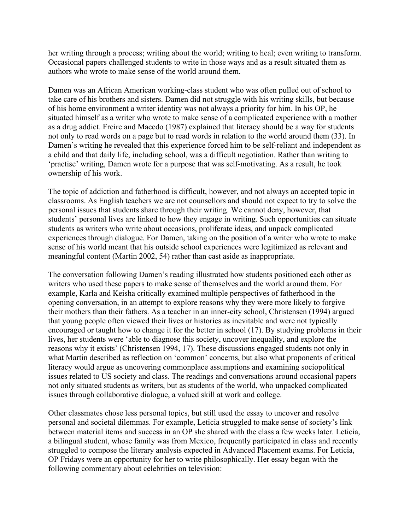her writing through a process; writing about the world; writing to heal; even writing to transform. Occasional papers challenged students to write in those ways and as a result situated them as authors who wrote to make sense of the world around them.

Damen was an African American working-class student who was often pulled out of school to take care of his brothers and sisters. Damen did not struggle with his writing skills, but because of his home environment a writer identity was not always a priority for him. In his OP, he situated himself as a writer who wrote to make sense of a complicated experience with a mother as a drug addict. Freire and Macedo (1987) explained that literacy should be a way for students not only to read words on a page but to read words in relation to the world around them (33). In Damen's writing he revealed that this experience forced him to be self-reliant and independent as a child and that daily life, including school, was a difficult negotiation. Rather than writing to 'practise' writing, Damen wrote for a purpose that was self-motivating. As a result, he took ownership of his work.

The topic of addiction and fatherhood is difficult, however, and not always an accepted topic in classrooms. As English teachers we are not counsellors and should not expect to try to solve the personal issues that students share through their writing. We cannot deny, however, that students' personal lives are linked to how they engage in writing. Such opportunities can situate students as writers who write about occasions, proliferate ideas, and unpack complicated experiences through dialogue. For Damen, taking on the position of a writer who wrote to make sense of his world meant that his outside school experiences were legitimized as relevant and meaningful content (Martin 2002, 54) rather than cast aside as inappropriate.

The conversation following Damen's reading illustrated how students positioned each other as writers who used these papers to make sense of themselves and the world around them. For example, Karla and Keisha critically examined multiple perspectives of fatherhood in the opening conversation, in an attempt to explore reasons why they were more likely to forgive their mothers than their fathers. As a teacher in an inner-city school, Christensen (1994) argued that young people often viewed their lives or histories as inevitable and were not typically encouraged or taught how to change it for the better in school (17). By studying problems in their lives, her students were 'able to diagnose this society, uncover inequality, and explore the reasons why it exists' (Christensen 1994, 17). These discussions engaged students not only in what Martin described as reflection on 'common' concerns, but also what proponents of critical literacy would argue as uncovering commonplace assumptions and examining sociopolitical issues related to US society and class. The readings and conversations around occasional papers not only situated students as writers, but as students of the world, who unpacked complicated issues through collaborative dialogue, a valued skill at work and college.

Other classmates chose less personal topics, but still used the essay to uncover and resolve personal and societal dilemmas. For example, Leticia struggled to make sense of society's link between material items and success in an OP she shared with the class a few weeks later. Leticia, a bilingual student, whose family was from Mexico, frequently participated in class and recently struggled to compose the literary analysis expected in Advanced Placement exams. For Leticia, OP Fridays were an opportunity for her to write philosophically. Her essay began with the following commentary about celebrities on television: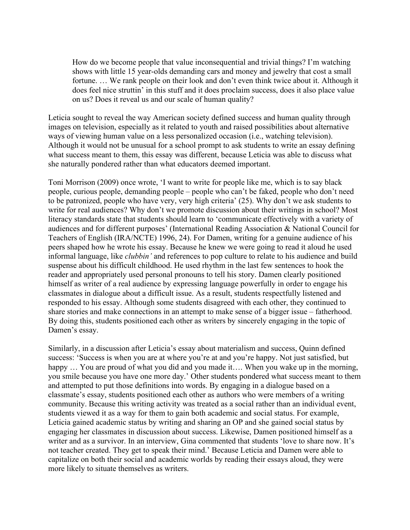How do we become people that value inconsequential and trivial things? I'm watching shows with little 15 year-olds demanding cars and money and jewelry that cost a small fortune. … We rank people on their look and don't even think twice about it. Although it does feel nice struttin' in this stuff and it does proclaim success, does it also place value on us? Does it reveal us and our scale of human quality?

Leticia sought to reveal the way American society defined success and human quality through images on television, especially as it related to youth and raised possibilities about alternative ways of viewing human value on a less personalized occasion (i.e., watching television). Although it would not be unusual for a school prompt to ask students to write an essay defining what success meant to them, this essay was different, because Leticia was able to discuss what she naturally pondered rather than what educators deemed important.

Toni Morrison (2009) once wrote, 'I want to write for people like me, which is to say black people, curious people, demanding people – people who can't be faked, people who don't need to be patronized, people who have very, very high criteria' (25). Why don't we ask students to write for real audiences? Why don't we promote discussion about their writings in school? Most literacy standards state that students should learn to 'communicate effectively with a variety of audiences and for different purposes' (International Reading Association & National Council for Teachers of English (IRA/NCTE) 1996, 24). For Damen, writing for a genuine audience of his peers shaped how he wrote his essay. Because he knew we were going to read it aloud he used informal language, like *clubbin'* and references to pop culture to relate to his audience and build suspense about his difficult childhood. He used rhythm in the last few sentences to hook the reader and appropriately used personal pronouns to tell his story. Damen clearly positioned himself as writer of a real audience by expressing language powerfully in order to engage his classmates in dialogue about a difficult issue. As a result, students respectfully listened and responded to his essay. Although some students disagreed with each other, they continued to share stories and make connections in an attempt to make sense of a bigger issue – fatherhood. By doing this, students positioned each other as writers by sincerely engaging in the topic of Damen's essay.

Similarly, in a discussion after Leticia's essay about materialism and success, Quinn defined success: 'Success is when you are at where you're at and you're happy. Not just satisfied, but happy ... You are proud of what you did and you made it.... When you wake up in the morning, you smile because you have one more day.' Other students pondered what success meant to them and attempted to put those definitions into words. By engaging in a dialogue based on a classmate's essay, students positioned each other as authors who were members of a writing community. Because this writing activity was treated as a social rather than an individual event, students viewed it as a way for them to gain both academic and social status. For example, Leticia gained academic status by writing and sharing an OP and she gained social status by engaging her classmates in discussion about success. Likewise, Damen positioned himself as a writer and as a survivor. In an interview, Gina commented that students 'love to share now. It's not teacher created. They get to speak their mind.' Because Leticia and Damen were able to capitalize on both their social and academic worlds by reading their essays aloud, they were more likely to situate themselves as writers.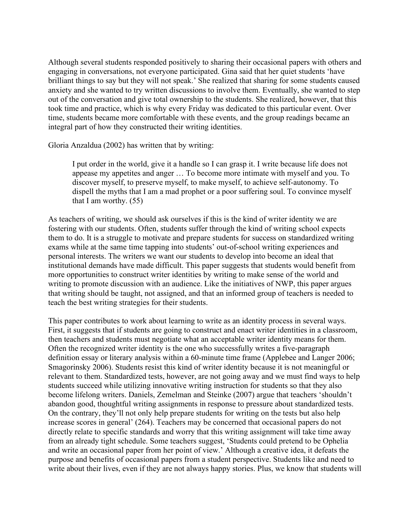Although several students responded positively to sharing their occasional papers with others and engaging in conversations, not everyone participated. Gina said that her quiet students 'have brilliant things to say but they will not speak.' She realized that sharing for some students caused anxiety and she wanted to try written discussions to involve them. Eventually, she wanted to step out of the conversation and give total ownership to the students. She realized, however, that this took time and practice, which is why every Friday was dedicated to this particular event. Over time, students became more comfortable with these events, and the group readings became an integral part of how they constructed their writing identities.

Gloria Anzaldua (2002) has written that by writing:

I put order in the world, give it a handle so I can grasp it. I write because life does not appease my appetites and anger … To become more intimate with myself and you. To discover myself, to preserve myself, to make myself, to achieve self-autonomy. To dispell the myths that I am a mad prophet or a poor suffering soul. To convince myself that I am worthy.  $(55)$ 

As teachers of writing, we should ask ourselves if this is the kind of writer identity we are fostering with our students. Often, students suffer through the kind of writing school expects them to do. It is a struggle to motivate and prepare students for success on standardized writing exams while at the same time tapping into students' out-of-school writing experiences and personal interests. The writers we want our students to develop into become an ideal that institutional demands have made difficult. This paper suggests that students would benefit from more opportunities to construct writer identities by writing to make sense of the world and writing to promote discussion with an audience. Like the initiatives of NWP, this paper argues that writing should be taught, not assigned, and that an informed group of teachers is needed to teach the best writing strategies for their students.

This paper contributes to work about learning to write as an identity process in several ways. First, it suggests that if students are going to construct and enact writer identities in a classroom, then teachers and students must negotiate what an acceptable writer identity means for them. Often the recognized writer identity is the one who successfully writes a five-paragraph definition essay or literary analysis within a 60-minute time frame (Applebee and Langer 2006; Smagorinsky 2006). Students resist this kind of writer identity because it is not meaningful or relevant to them. Standardized tests, however, are not going away and we must find ways to help students succeed while utilizing innovative writing instruction for students so that they also become lifelong writers. Daniels, Zemelman and Steinke (2007) argue that teachers 'shouldn't abandon good, thoughtful writing assignments in response to pressure about standardized tests. On the contrary, they'll not only help prepare students for writing on the tests but also help increase scores in general' (264). Teachers may be concerned that occasional papers do not directly relate to specific standards and worry that this writing assignment will take time away from an already tight schedule. Some teachers suggest, 'Students could pretend to be Ophelia and write an occasional paper from her point of view.' Although a creative idea, it defeats the purpose and benefits of occasional papers from a student perspective. Students like and need to write about their lives, even if they are not always happy stories. Plus, we know that students will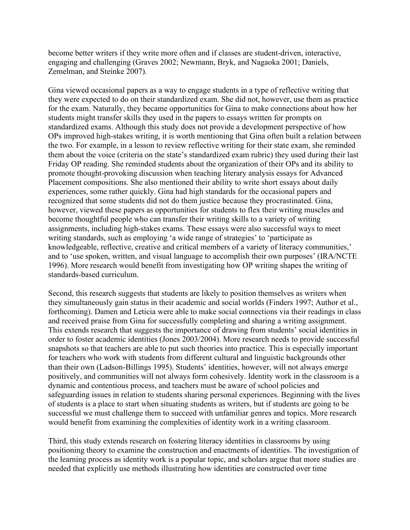become better writers if they write more often and if classes are student-driven, interactive, engaging and challenging (Graves 2002; Newmann, Bryk, and Nagaoka 2001; Daniels, Zemelman, and Steinke 2007).

Gina viewed occasional papers as a way to engage students in a type of reflective writing that they were expected to do on their standardized exam. She did not, however, use them as practice for the exam. Naturally, they became opportunities for Gina to make connections about how her students might transfer skills they used in the papers to essays written for prompts on standardized exams. Although this study does not provide a development perspective of how OPs improved high-stakes writing, it is worth mentioning that Gina often built a relation between the two. For example, in a lesson to review reflective writing for their state exam, she reminded them about the voice (criteria on the state's standardized exam rubric) they used during their last Friday OP reading. She reminded students about the organization of their OPs and its ability to promote thought-provoking discussion when teaching literary analysis essays for Advanced Placement compositions. She also mentioned their ability to write short essays about daily experiences, some rather quickly. Gina had high standards for the occasional papers and recognized that some students did not do them justice because they procrastinated. Gina, however, viewed these papers as opportunities for students to flex their writing muscles and become thoughtful people who can transfer their writing skills to a variety of writing assignments, including high-stakes exams. These essays were also successful ways to meet writing standards, such as employing 'a wide range of strategies' to 'participate as knowledgeable, reflective, creative and critical members of a variety of literacy communities,' and to 'use spoken, written, and visual language to accomplish their own purposes' (IRA/NCTE 1996). More research would benefit from investigating how OP writing shapes the writing of standards-based curriculum.

Second, this research suggests that students are likely to position themselves as writers when they simultaneously gain status in their academic and social worlds (Finders 1997; Author et al., forthcoming). Damen and Leticia were able to make social connections via their readings in class and received praise from Gina for successfully completing and sharing a writing assignment. This extends research that suggests the importance of drawing from students' social identities in order to foster academic identities (Jones 2003/2004). More research needs to provide successful snapshots so that teachers are able to put such theories into practice. This is especially important for teachers who work with students from different cultural and linguistic backgrounds other than their own (Ladson-Billings 1995). Students' identities, however, will not always emerge positively, and communities will not always form cohesively. Identity work in the classroom is a dynamic and contentious process, and teachers must be aware of school policies and safeguarding issues in relation to students sharing personal experiences. Beginning with the lives of students is a place to start when situating students as writers, but if students are going to be successful we must challenge them to succeed with unfamiliar genres and topics. More research would benefit from examining the complexities of identity work in a writing classroom.

Third, this study extends research on fostering literacy identities in classrooms by using positioning theory to examine the construction and enactments of identities. The investigation of the learning process as identity work is a popular topic, and scholars argue that more studies are needed that explicitly use methods illustrating how identities are constructed over time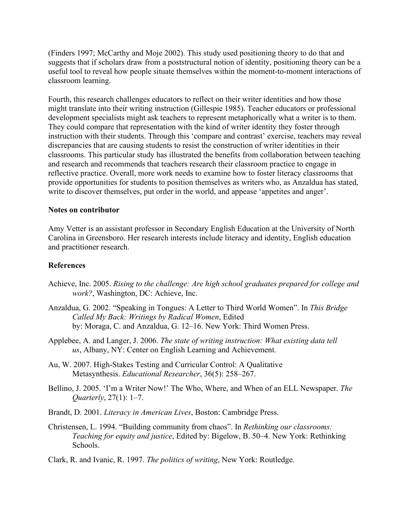(Finders 1997; McCarthy and Moje 2002). This study used positioning theory to do that and suggests that if scholars draw from a poststructural notion of identity, positioning theory can be a useful tool to reveal how people situate themselves within the moment-to-moment interactions of classroom learning.

Fourth, this research challenges educators to reflect on their writer identities and how those might translate into their writing instruction (Gillespie 1985). Teacher educators or professional development specialists might ask teachers to represent metaphorically what a writer is to them. They could compare that representation with the kind of writer identity they foster through instruction with their students. Through this 'compare and contrast' exercise, teachers may reveal discrepancies that are causing students to resist the construction of writer identities in their classrooms. This particular study has illustrated the benefits from collaboration between teaching and research and recommends that teachers research their classroom practice to engage in reflective practice. Overall, more work needs to examine how to foster literacy classrooms that provide opportunities for students to position themselves as writers who, as Anzaldua has stated, write to discover themselves, put order in the world, and appease 'appetites and anger'.

#### **Notes on contributor**

Amy Vetter is an assistant professor in Secondary English Education at the University of North Carolina in Greensboro. Her research interests include literacy and identity, English education and practitioner research.

## **References**

- Achieve, Inc. 2005. *Rising to the challenge: Are high school graduates prepared for college and work?*, Washington, DC: Achieve, Inc.
- Anzaldua, G. 2002. "Speaking in Tongues: A Letter to Third World Women". In *This Bridge Called My Back: Writings by Radical Women*, Edited by: Moraga, C. and Anzaldua, G. 12–16. New York: Third Women Press.
- Applebee, A. and Langer, J. 2006. *The state of writing instruction: What existing data tell us*, Albany, NY: Center on English Learning and Achievement.
- Au, W. 2007. High-Stakes Testing and Curricular Control: A Qualitative Metasynthesis. *Educational Researcher*, 36(5): 258–267.
- Bellino, J. 2005. 'I'm a Writer Now!' The Who, Where, and When of an ELL Newspaper. *The Quarterly*, 27(1): 1–7.
- Brandt, D. 2001. *Literacy in American Lives*, Boston: Cambridge Press.
- Christensen, L. 1994. "Building community from chaos". In *Rethinking our classrooms: Teaching for equity and justice*, Edited by: Bigelow, B. 50–4. New York: Rethinking Schools.
- Clark, R. and Ivanic, R. 1997. *The politics of writing*, New York: Routledge.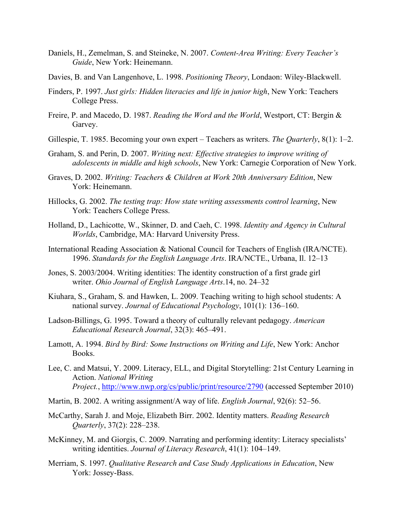- Daniels, H., Zemelman, S. and Steineke, N. 2007. *Content-Area Writing: Every Teacher's Guide*, New York: Heinemann.
- Davies, B. and Van Langenhove, L. 1998. *Positioning Theory*, Londaon: Wiley-Blackwell.
- Finders, P. 1997. *Just girls: Hidden literacies and life in junior high*, New York: Teachers College Press.
- Freire, P. and Macedo, D. 1987. *Reading the Word and the World*, Westport, CT: Bergin & Garvey.
- Gillespie, T. 1985. Becoming your own expert Teachers as writers. *The Quarterly*, 8(1): 1–2.
- Graham, S. and Perin, D. 2007. *Writing next: Effective strategies to improve writing of adolescents in middle and high schools*, New York: Carnegie Corporation of New York.
- Graves, D. 2002. *Writing: Teachers & Children at Work 20th Anniversary Edition*, New York: Heinemann.
- Hillocks, G. 2002. *The testing trap: How state writing assessments control learning*, New York: Teachers College Press.
- Holland, D., Lachicotte, W., Skinner, D. and Caeh, C. 1998. *Identity and Agency in Cultural Worlds*, Cambridge, MA: Harvard University Press.
- International Reading Association & National Council for Teachers of English (IRA/NCTE). 1996. *Standards for the English Language Arts*. IRA/NCTE., Urbana, Il. 12–13
- Jones, S. 2003/2004. Writing identities: The identity construction of a first grade girl writer. *Ohio Journal of English Language Arts*.14, no. 24–32
- Kiuhara, S., Graham, S. and Hawken, L. 2009. Teaching writing to high school students: A national survey. *Journal of Educational Psychology*, 101(1): 136–160.
- Ladson-Billings, G. 1995. Toward a theory of culturally relevant pedagogy. *American Educational Research Journal*, 32(3): 465–491.
- Lamott, A. 1994. *Bird by Bird: Some Instructions on Writing and Life*, New York: Anchor Books.
- Lee, C. and Matsui, Y. 2009. Literacy, ELL, and Digital Storytelling: 21st Century Learning in Action. *National Writing Project.*, <http://www.nwp.org/cs/public/print/resource/2790> (accessed September 2010)
- Martin, B. 2002. A writing assignment/A way of life. *English Journal*, 92(6): 52–56.
- McCarthy, Sarah J. and Moje, Elizabeth Birr. 2002. Identity matters. *Reading Research Quarterly*, 37(2): 228–238.
- McKinney, M. and Giorgis, C. 2009. Narrating and performing identity: Literacy specialists' writing identities. *Journal of Literacy Research*, 41(1): 104–149.
- Merriam, S. 1997. *Qualitative Research and Case Study Applications in Education*, New York: Jossey-Bass.